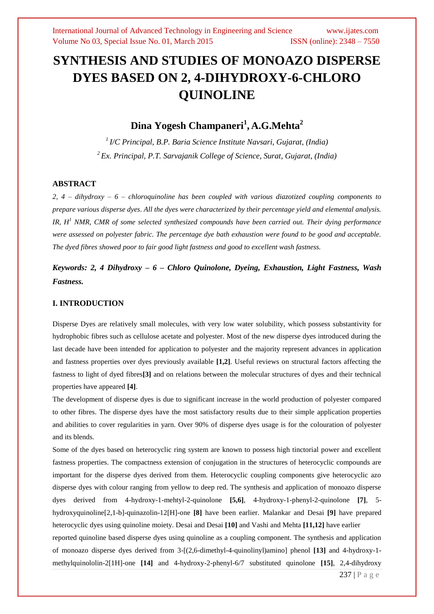# **SYNTHESIS AND STUDIES OF MONOAZO DISPERSE DYES BASED ON 2, 4-DIHYDROXY-6-CHLORO QUINOLINE**

**Dina Yogesh Champaneri<sup>1</sup> , A.G.Mehta<sup>2</sup>**

*1 I/C Principal, B.P. Baria Science Institute Navsari, Gujarat, (India) <sup>2</sup> Ex. Principal, P.T. Sarvajanik College of Science, Surat, Gujarat, (India)*

#### **ABSTRACT**

*2, 4 – dihydroxy – 6 – chloroquinoline has been coupled with various diazotized coupling components to prepare various disperse dyes. All the dyes were characterized by their percentage yield and elemental analysis. IR, H<sup>1</sup> NMR, CMR of some selected synthesized compounds have been carried out. Their dying performance were assessed on polyester fabric. The percentage dye bath exhaustion were found to be good and acceptable. The dyed fibres showed poor to fair good light fastness and good to excellent wash fastness.*

*Keywords: 2, 4 Dihydroxy – 6 – Chloro Quinolone, Dyeing, Exhaustion, Light Fastness, Wash Fastness.*

## **I. INTRODUCTION**

Disperse Dyes are relatively small molecules, with very low water solubility, which possess substantivity for hydrophobic fibres such as cellulose acetate and polyester. Most of the new disperse dyes introduced during the last decade have been intended for application to polyester and the majority represent advances in application and fastness properties over dyes previously available **[1,2]**. Useful reviews on structural factors affecting the fastness to light of dyed fibres**[3]** and on relations between the molecular structures of dyes and their technical properties have appeared **[4]**.

The development of disperse dyes is due to significant increase in the world production of polyester compared to other fibres. The disperse dyes have the most satisfactory results due to their simple application properties and abilities to cover regularities in yarn. Over 90% of disperse dyes usage is for the colouration of polyester and its blends.

237 | P a g e Some of the dyes based on heterocyclic ring system are known to possess high tinctorial power and excellent fastness properties. The compactness extension of conjugation in the structures of heterocyclic compounds are important for the disperse dyes derived from them. Heterocyclic coupling components give heterocyclic azo disperse dyes with colour ranging from yellow to deep red. The synthesis and application of monoazo disperse dyes derived from 4-hydroxy-1-mehtyl-2-quinolone **[5,6]**, 4-hydroxy-1-phenyl-2-quinolone **[7]**, 5 hydroxyquinoline[2,1-b]-quinazolin-12[H]-one **[8]** have been earlier. Malankar and Desai **[9]** have prepared heterocyclic dyes using quinoline moiety. Desai and Desai **[10]** and Vashi and Mehta **[11,12]** have earlier reported quinoline based disperse dyes using quinoline as a coupling component. The synthesis and application of monoazo disperse dyes derived from 3-[(2,6-dimethyl-4-quinolinyl)amino] phenol **[13]** and 4-hydroxy-1 methylquinololin-2[1H]-one **[14]** and 4-hydroxy-2-phenyl-6/7 substituted quinolone **[15]**, 2,4-dihydroxy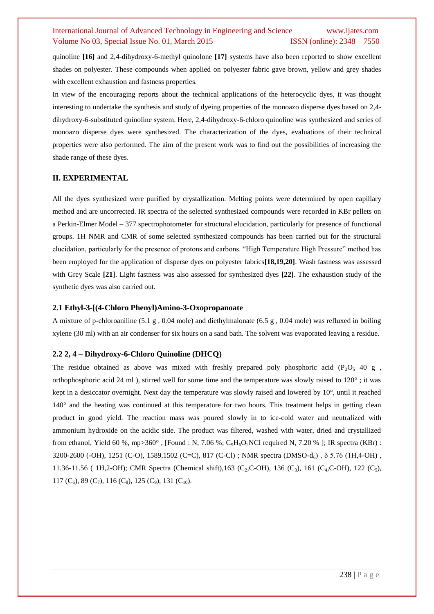quinoline **[16]** and 2,4-dihydroxy-6-methyl quinolone **[17]** systems have also been reported to show excellent shades on polyester. These compounds when applied on polyester fabric gave brown, yellow and grey shades with excellent exhaustion and fastness properties.

In view of the encouraging reports about the technical applications of the heterocyclic dyes, it was thought interesting to undertake the synthesis and study of dyeing properties of the monoazo disperse dyes based on 2,4 dihydroxy-6-substituted quinoline system. Here, 2,4-dihydroxy-6-chloro quinoline was synthesized and series of monoazo disperse dyes were synthesized. The characterization of the dyes, evaluations of their technical properties were also performed. The aim of the present work was to find out the possibilities of increasing the shade range of these dyes.

#### **II. EXPERIMENTAL**

All the dyes synthesized were purified by crystallization. Melting points were determined by open capillary method and are uncorrected. IR spectra of the selected synthesized compounds were recorded in KBr pellets on a Perkin-Elmer Model – 377 spectrophotometer for structural elucidation, particularly for presence of functional groups. 1H NMR and CMR of some selected synthesized compounds has been carried out for the structural elucidation, particularly for the presence of protons and carbons. "High Temperature High Pressure" method has been employed for the application of disperse dyes on polyester fabrics**[18,19,20]**. Wash fastness was assessed with Grey Scale **[21]**. Light fastness was also assessed for synthesized dyes **[22]**. The exhaustion study of the synthetic dyes was also carried out.

#### **2.1 Ethyl-3-[(4-Chloro Phenyl)Amino-3-Oxopropanoate**

A mixture of p-chloroaniline (5.1 g , 0.04 mole) and diethylmalonate (6.5 g , 0.04 mole) was refluxed in boiling xylene (30 ml) with an air condenser for six hours on a sand bath. The solvent was evaporated leaving a residue.

### **2.2 2, 4 – Dihydroxy-6-Chloro Quinoline (DHCQ)**

The residue obtained as above was mixed with freshly prepared poly phosphoric acid (P<sub>2</sub>O<sub>5</sub> 40 g, orthophosphoric acid 24 ml), stirred well for some time and the temperature was slowly raised to  $120^{\circ}$ ; it was kept in a desiccator overnight. Next day the temperature was slowly raised and lowered by 10°, until it reached 140° and the heating was continued at this temperature for two hours. This treatment helps in getting clean product in good yield. The reaction mass was poured slowly in to ice-cold water and neutralized with ammonium hydroxide on the acidic side. The product was filtered, washed with water, dried and crystallized from ethanol, Yield 60 %, mp>360 $^{\circ}$ , [Found : N, 7.06 %; C<sub>9</sub>H<sub>6</sub>O<sub>2</sub>NCl required N, 7.20 % ]; IR spectra (KBr) : 3200-2600 (-OH), 1251 (C-O), 1589,1502 (C=C), 817 (C-Cl) ; NMR spectra (DMSO-d6) , δ 5.76 (1H,4-OH) , 11.36-11.56 ( 1H,2-OH); CMR Spectra (Chemical shift),163 (C<sub>2</sub>,C-OH), 136 (C<sub>3</sub>), 161 (C<sub>4</sub>,C-OH), 122 (C<sub>5</sub>), 117 (C<sub>6</sub>), 89 (C<sub>7</sub>), 116 (C<sub>8</sub>), 125 (C<sub>9</sub>), 131 (C<sub>10</sub>).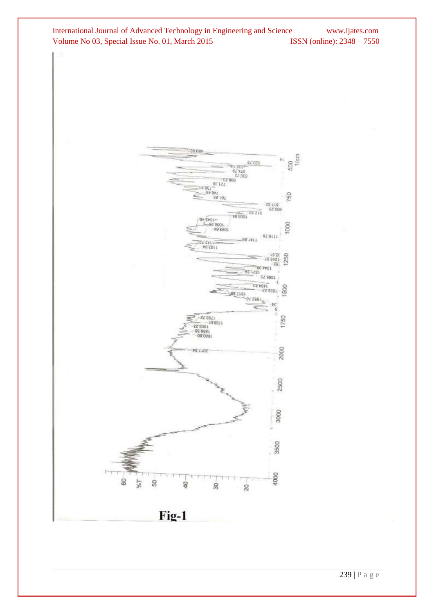



239 | P a g e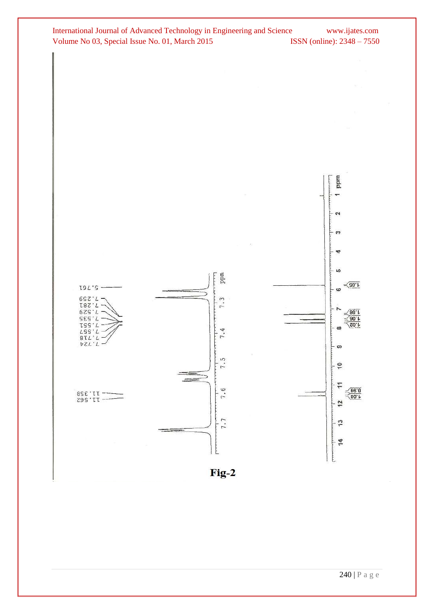

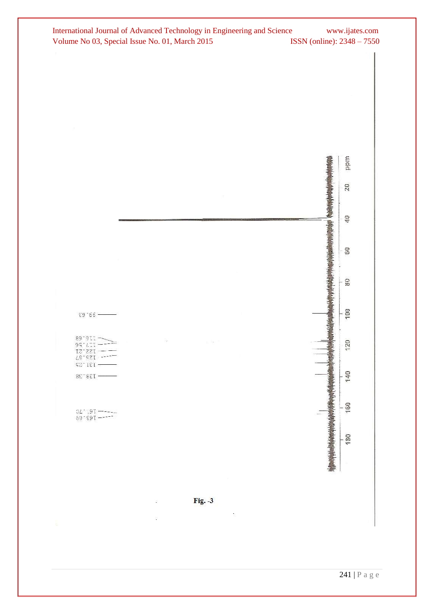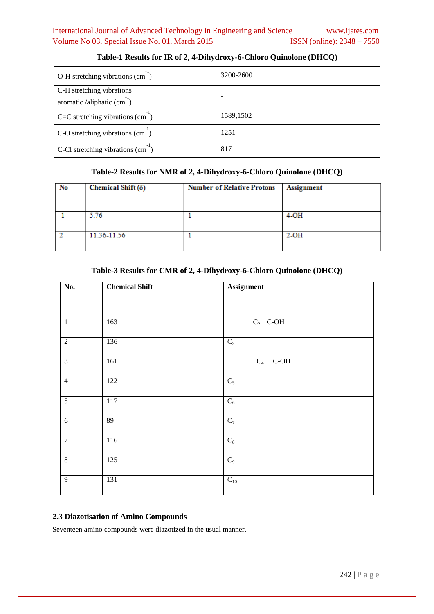| O-H stretching vibrations (cm)                            | 3200-2600 |
|-----------------------------------------------------------|-----------|
| C-H stretching vibrations<br>aromatic /aliphatic $(cm-1)$ | -         |
| $C=C$ stretching vibrations (cm)                          | 1589,1502 |
| C-O stretching vibrations (cm)                            | 1251      |
| C-Cl stretching vibrations $(cm )$                        | 817       |

## **Table-1 Results for IR of 2, 4-Dihydroxy-6-Chloro Quinolone (DHCQ)**

## **Table-2 Results for NMR of 2, 4-Dihydroxy-6-Chloro Quinolone (DHCQ)**

| No | Chemical Shift ( $\delta$ ) | <b>Number of Relative Protons</b> | <b>Assignment</b> |
|----|-----------------------------|-----------------------------------|-------------------|
|    | 5.76                        |                                   | $4-OH$            |
|    | 11.36-11.56                 |                                   | $2-OH$            |

## **Table-3 Results for CMR of 2, 4-Dihydroxy-6-Chloro Quinolone (DHCQ)**

| No.            | <b>Chemical Shift</b> | <b>Assignment</b> |
|----------------|-----------------------|-------------------|
|                |                       |                   |
|                |                       |                   |
| $\mathbf{1}$   | 163                   | $C_2$ C-OH        |
| $\overline{2}$ | 136                   | $C_3$             |
| $\overline{3}$ | 161                   | $C_4$ C-OH        |
| $\overline{4}$ | 122                   | $C_5$             |
| $\mathfrak{S}$ | 117                   | $\mathrm{C}_6$    |
| $\sqrt{6}$     | 89                    | $\overline{C_7}$  |
| $\overline{7}$ | 116                   | $\mathrm{C}_8$    |
| $\overline{8}$ | 125                   | $C_9$             |
| $\overline{9}$ | 131                   | $C_{10}$          |

## **2.3 Diazotisation of Amino Compounds**

Seventeen amino compounds were diazotized in the usual manner.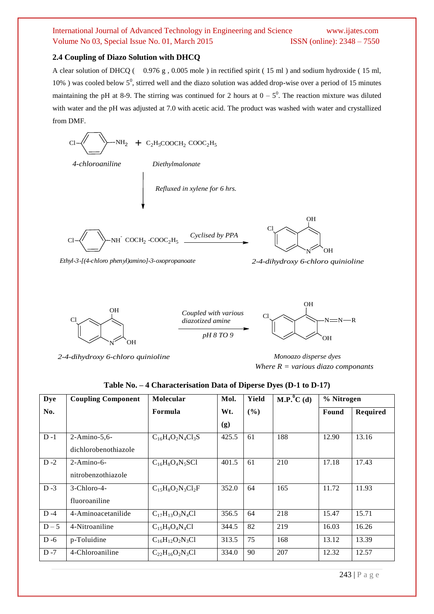## **2.4 Coupling of Diazo Solution with DHCQ**

A clear solution of DHCQ ( 0.976 g , 0.005 mole ) in rectified spirit ( 15 ml ) and sodium hydroxide ( 15 ml, 10%) was cooled below  $5^0$ , stirred well and the diazo solution was added drop-wise over a period of 15 minutes maintaining the pH at 8-9. The stirring was continued for 2 hours at  $0 - 5^0$ . The reaction mixture was diluted with water and the pH was adjusted at 7.0 with acetic acid. The product was washed with water and crystallized from DMF.

Cl NH<sup>2</sup> + <sup>C</sup>2H5COOCH<sup>2</sup> COOC2H<sup>5</sup> Cl NH - N OH OH Cl *Cyclised by PPA Refluxed in xylene for 6 hrs.*  COCH<sup>2</sup> -COOC2H<sup>5</sup> *4-chloroaniline Diethylmalonate*

*Ethyl-3-[(4-chloro phenyl)amino]-3-oxopropanoate 2-4-dihydroxy 6-chloro quinioline*



*Coupled with various diazotized amine pH 8 TO 9*



*2-4-dihydroxy 6-chloro quinioline Monoazo disperse dyes*

*Where R = various diazo componants* 

| Table No. - 4 Characterisation Data of Diperse Dyes (D-1 to D-17) |  |  |  |  |
|-------------------------------------------------------------------|--|--|--|--|
|-------------------------------------------------------------------|--|--|--|--|

| <b>Dye</b> | <b>Coupling Component</b> | Molecular              | Mol.  | Yield | $\mathbf{M}.\mathbf{P}^0\mathbf{C}$ (d) | % Nitrogen |          |
|------------|---------------------------|------------------------|-------|-------|-----------------------------------------|------------|----------|
| No.        |                           | Formula                | Wt.   | (%)   |                                         | Found      | Required |
|            |                           |                        | (g)   |       |                                         |            |          |
| $D - 1$    | 2-Amino-5,6-              | $C_{16}H_4O_2N_4Cl_3S$ | 425.5 | 61    | 188                                     | 12.90      | 13.16    |
|            | dichlorobenothiazole      |                        |       |       |                                         |            |          |
| $D-2$      | $2-Amino-6-$              | $C_{16}H_8O_4N_5SC1$   | 401.5 | 61    | 210                                     | 17.18      | 17.43    |
|            | nitrobenzothiazole        |                        |       |       |                                         |            |          |
| $D - 3$    | $3$ -Chloro-4-            | $C_{15}H_8O_2N_3Cl_2F$ | 352.0 | 64    | 165                                     | 11.72      | 11.93    |
|            | fluoroaniline             |                        |       |       |                                         |            |          |
| $D - 4$    | 4-Aminoacetanilide        | $C_{17}H_{13}O_3N_4Cl$ | 356.5 | 64    | 218                                     | 15.47      | 15.71    |
| $D-5$      | 4-Nitroaniline            | $C_15H9O4N4Cl$         | 344.5 | 82    | 219                                     | 16.03      | 16.26    |
| $D - 6$    | p-Toluidine               | $C_{16}H_{12}O_2N_3Cl$ | 313.5 | 75    | 168                                     | 13.12      | 13.39    |
| $D - 7$    | 4-Chloroaniline           | $C_{22}H_{16}O_2N_3Cl$ | 334.0 | 90    | 207                                     | 12.32      | 12.57    |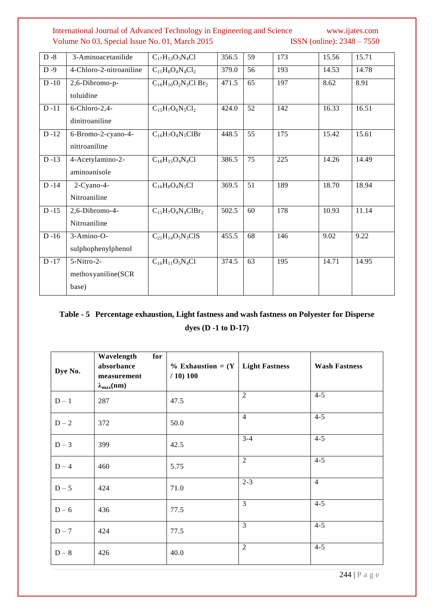| $D - 8$  | 3-Aminoacetanilide      | $C_{17}H_{13}O_3N_4Cl$      | 356.5 | 59 | 173 | 15.56 | 15.71 |
|----------|-------------------------|-----------------------------|-------|----|-----|-------|-------|
| $D - 9$  | 4-Chloro-2-nitroaniline | $C_{15}H_8O_4N_4Cl_2$       | 379.0 | 56 | 193 | 14.53 | 14.78 |
| $D-10$   | 2,6-Dibromo-p-          | $C_{16}H_{10}O_2N_3Cl Br_2$ | 471.5 | 65 | 197 | 8.62  | 8.91  |
|          | toluidine               |                             |       |    |     |       |       |
| $D-11$   | 6-Chloro-2,4-           | $C_{15}H_7O_6N_5Cl_2$       | 424.0 | 52 | 142 | 16.33 | 16.51 |
|          | dinitroaniline          |                             |       |    |     |       |       |
| $D-12$   | 6-Bromo-2-cyano-4-      | $C_{16}H_7O_4N_5ClBr$       | 448.5 | 55 | 175 | 15.42 | 15.61 |
|          | nittroaniline           |                             |       |    |     |       |       |
| $D-13$   | 4-Acetylamino-2-        | $C_{18}H_{15}O_4N_4Cl$      | 386.5 | 75 | 225 | 14.26 | 14.49 |
|          | aminoanisole            |                             |       |    |     |       |       |
| $D - 14$ | 2-Cyano-4-              | $C_{16}H_8O_4N_5Cl$         | 369.5 | 51 | 189 | 18.70 | 18.94 |
|          | Nitroaniline            |                             |       |    |     |       |       |
| $D-15$   | 2,6-Dibromo-4-          | $C_{15}H_7O_4N_4ClBr_2$     | 502.5 | 60 | 178 | 10.93 | 11.14 |
|          | Nitroaniline            |                             |       |    |     |       |       |
| $D-16$   | 3-Amino-O-              | $C_{21}H_{14}O_5N_3ClS$     | 455.5 | 68 | 146 | 9.02  | 9.22  |
|          | sulphophenylphenol      |                             |       |    |     |       |       |
| $D - 17$ | 5-Nitro-2-              | $C_{16}H_{11}O_5N_4Cl$      | 374.5 | 63 | 195 | 14.71 | 14.95 |
|          | methoxyaniline(SCR      |                             |       |    |     |       |       |
|          | base)                   |                             |       |    |     |       |       |

# **Table - 5 Percentage exhaustion, Light fastness and wash fastness on Polyester for Disperse**

**dyes (D -1 to D-17)**

| Dye No. | Wavelength<br>for<br>absorbance<br>measurement<br>$\lambda_{\max}(nm)$ | $\%$ Exhaustion = $(Y$<br>/ 10) 100 | <b>Light Fastness</b> | <b>Wash Fastness</b> |
|---------|------------------------------------------------------------------------|-------------------------------------|-----------------------|----------------------|
| $D-1$   | 287                                                                    | 47.5                                | 2                     | $4 - 5$              |
| $D-2$   | 372                                                                    | 50.0                                | $\overline{4}$        | $4 - 5$              |
| $D-3$   | 399                                                                    | 42.5                                | $3 - 4$               | $4 - 5$              |
| $D-4$   | 460                                                                    | 5.75                                | $\overline{2}$        | $4 - 5$              |
| $D - 5$ | 424                                                                    | 71.0                                | $2 - 3$               | $\overline{4}$       |
| $D - 6$ | 436                                                                    | 77.5                                | $\overline{3}$        | $4 - 5$              |
| $D-7$   | 424                                                                    | 77.5                                | 3                     | $4 - 5$              |
| $D-8$   | 426                                                                    | 40.0                                | $\overline{2}$        | $4 - 5$              |

244 | P a g e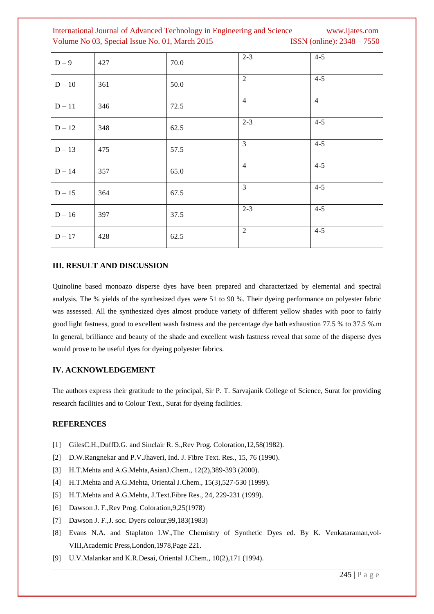| $D-9$    | 427 | 70.0 | $2 - 3$        | $4 - 5$        |
|----------|-----|------|----------------|----------------|
| $D - 10$ | 361 | 50.0 | 2              | $4 - 5$        |
| $D-11$   | 346 | 72.5 | $\overline{4}$ | $\overline{4}$ |
| $D-12$   | 348 | 62.5 | $2 - 3$        | $4 - 5$        |
| $D-13$   | 475 | 57.5 | 3              | $4 - 5$        |
| $D - 14$ | 357 | 65.0 | $\overline{4}$ | $4 - 5$        |
| $D - 15$ | 364 | 67.5 | 3              | $4 - 5$        |
| $D-16$   | 397 | 37.5 | $2 - 3$        | $4 - 5$        |
| $D - 17$ | 428 | 62.5 | $\overline{2}$ | $4 - 5$        |

#### **III. RESULT AND DISCUSSION**

Quinoline based monoazo disperse dyes have been prepared and characterized by elemental and spectral analysis. The % yields of the synthesized dyes were 51 to 90 %. Their dyeing performance on polyester fabric was assessed. All the synthesized dyes almost produce variety of different yellow shades with poor to fairly good light fastness, good to excellent wash fastness and the percentage dye bath exhaustion 77.5 % to 37.5 %.m In general, brilliance and beauty of the shade and excellent wash fastness reveal that some of the disperse dyes would prove to be useful dyes for dyeing polyester fabrics.

#### **IV. ACKNOWLEDGEMENT**

The authors express their gratitude to the principal, Sir P. T. Sarvajanik College of Science, Surat for providing research facilities and to Colour Text., Surat for dyeing facilities.

#### **REFERENCES**

- [1] GilesC.H.,DuffD.G. and Sinclair R. S., Rev Prog. Coloration, 12,58(1982).
- [2] D.W.Rangnekar and P.V.Jhaveri, Ind. J. Fibre Text. Res., 15, 76 (1990).
- [3] H.T.Mehta and A.G.Mehta,AsianJ.Chem., 12(2),389-393 (2000).
- [4] H.T.Mehta and A.G.Mehta, Oriental J.Chem., 15(3), 527-530 (1999).
- [5] H.T.Mehta and A.G.Mehta, J.Text.Fibre Res., 24, 229-231 (1999).
- [6] Dawson J. F.,Rev Prog. Coloration,9,25(1978)
- [7] Dawson J. F.,J. soc. Dyers colour,99,183(1983)
- [8] Evans N.A. and Staplaton I.W.,The Chemistry of Synthetic Dyes ed. By K. Venkataraman,vol-VIII,Academic Press,London,1978,Page 221.
- [9] U.V.Malankar and K.R.Desai, Oriental J.Chem., 10(2),171 (1994).